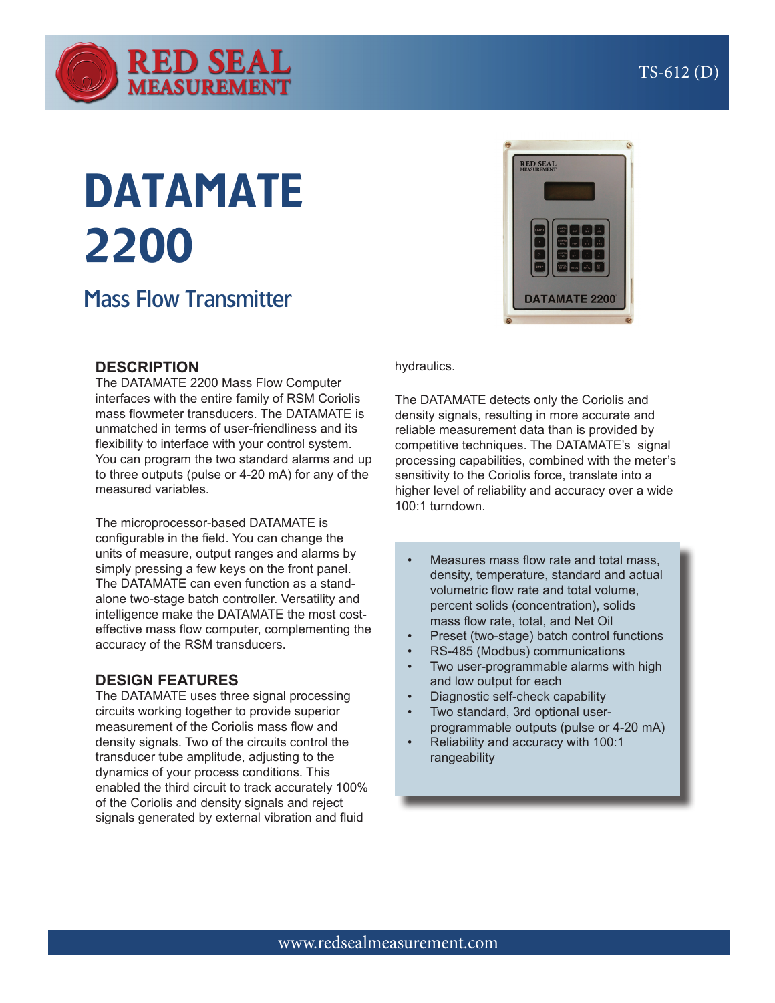

# DATAMATE 2200

# Mass Flow Transmitter

## **DESCRIPTION**

The DATAMATE 2200 Mass Flow Computer interfaces with the entire family of RSM Coriolis mass flowmeter transducers. The DATAMATE is unmatched in terms of user-friendliness and its flexibility to interface with your control system. You can program the two standard alarms and up to three outputs (pulse or 4-20 mA) for any of the measured variables.

The microprocessor-based DATAMATE is configurable in the field. You can change the units of measure, output ranges and alarms by simply pressing a few keys on the front panel. The DATAMATE can even function as a standalone two-stage batch controller. Versatility and intelligence make the DATAMATE the most costeffective mass flow computer, complementing the accuracy of the RSM transducers.

## **DESIGN FEATURES**

The DATAMATE uses three signal processing circuits working together to provide superior measurement of the Coriolis mass flow and density signals. Two of the circuits control the transducer tube amplitude, adjusting to the dynamics of your process conditions. This enabled the third circuit to track accurately 100% of the Coriolis and density signals and reject signals generated by external vibration and fluid



#### hydraulics.

The DATAMATE detects only the Coriolis and density signals, resulting in more accurate and reliable measurement data than is provided by competitive techniques. The DATAMATE's signal processing capabilities, combined with the meter's sensitivity to the Coriolis force, translate into a higher level of reliability and accuracy over a wide 100:1 turndown.

- Measures mass flow rate and total mass. density, temperature, standard and actual volumetric flow rate and total volume, percent solids (concentration), solids mass flow rate, total, and Net Oil
- Preset (two-stage) batch control functions
- RS-485 (Modbus) communications
- Two user-programmable alarms with high and low output for each
- Diagnostic self-check capability
- Two standard, 3rd optional userprogrammable outputs (pulse or 4-20 mA)
- Reliability and accuracy with 100:1 rangeability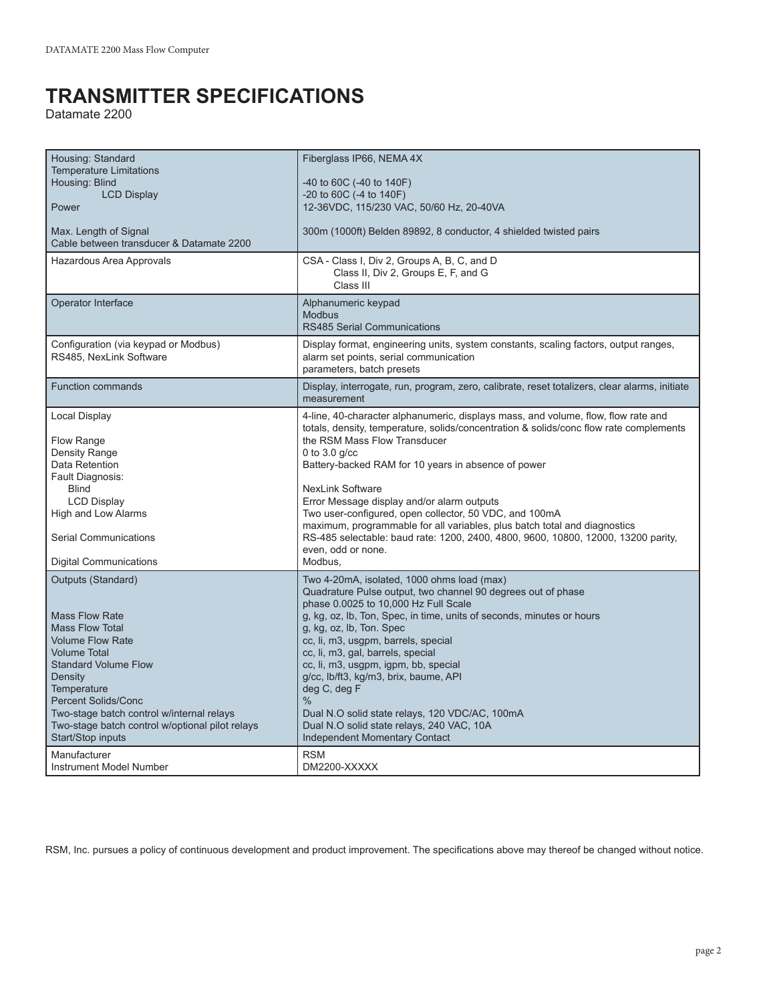# **TRANSMITTER SPECIFICATIONS**

Datamate 2200

| Housing: Standard<br><b>Temperature Limitations</b><br>Housing: Blind<br><b>LCD Display</b><br>Power<br>Max. Length of Signal<br>Cable between transducer & Datamate 2200<br>Hazardous Area Approvals                                                                                                                                                                          | Fiberglass IP66, NEMA 4X<br>-40 to 60C (-40 to 140F)<br>$-20$ to 60C ( $-4$ to 140F)<br>12-36VDC, 115/230 VAC, 50/60 Hz, 20-40VA<br>300m (1000ft) Belden 89892, 8 conductor, 4 shielded twisted pairs<br>CSA - Class I, Div 2, Groups A, B, C, and D<br>Class II, Div 2, Groups E, F, and G<br>Class III                                                                                                                                                                                                                                                                                                                    |
|--------------------------------------------------------------------------------------------------------------------------------------------------------------------------------------------------------------------------------------------------------------------------------------------------------------------------------------------------------------------------------|-----------------------------------------------------------------------------------------------------------------------------------------------------------------------------------------------------------------------------------------------------------------------------------------------------------------------------------------------------------------------------------------------------------------------------------------------------------------------------------------------------------------------------------------------------------------------------------------------------------------------------|
| Operator Interface                                                                                                                                                                                                                                                                                                                                                             | Alphanumeric keypad<br><b>Modbus</b><br><b>RS485 Serial Communications</b>                                                                                                                                                                                                                                                                                                                                                                                                                                                                                                                                                  |
| Configuration (via keypad or Modbus)<br>RS485, NexLink Software                                                                                                                                                                                                                                                                                                                | Display format, engineering units, system constants, scaling factors, output ranges,<br>alarm set points, serial communication<br>parameters, batch presets                                                                                                                                                                                                                                                                                                                                                                                                                                                                 |
| <b>Function commands</b>                                                                                                                                                                                                                                                                                                                                                       | Display, interrogate, run, program, zero, calibrate, reset totalizers, clear alarms, initiate<br>measurement                                                                                                                                                                                                                                                                                                                                                                                                                                                                                                                |
| Local Display<br>Flow Range<br>Density Range<br>Data Retention<br>Fault Diagnosis:<br><b>Blind</b><br><b>LCD Display</b><br>High and Low Alarms<br>Serial Communications<br><b>Digital Communications</b>                                                                                                                                                                      | 4-line, 40-character alphanumeric, displays mass, and volume, flow, flow rate and<br>totals, density, temperature, solids/concentration & solids/conc flow rate complements<br>the RSM Mass Flow Transducer<br>0 to $3.0$ g/cc<br>Battery-backed RAM for 10 years in absence of power<br><b>NexLink Software</b><br>Error Message display and/or alarm outputs<br>Two user-configured, open collector, 50 VDC, and 100mA<br>maximum, programmable for all variables, plus batch total and diagnostics<br>RS-485 selectable: baud rate: 1200, 2400, 4800, 9600, 10800, 12000, 13200 parity,<br>even, odd or none.<br>Modbus, |
| Outputs (Standard)<br><b>Mass Flow Rate</b><br><b>Mass Flow Total</b><br><b>Volume Flow Rate</b><br><b>Volume Total</b><br><b>Standard Volume Flow</b><br>Density<br>Temperature<br><b>Percent Solids/Conc</b><br>Two-stage batch control w/internal relays<br>Two-stage batch control w/optional pilot relays<br>Start/Stop inputs<br>Manufacturer<br>Instrument Model Number | Two 4-20mA, isolated, 1000 ohms load (max)<br>Quadrature Pulse output, two channel 90 degrees out of phase<br>phase 0.0025 to 10,000 Hz Full Scale<br>g, kg, oz, lb, Ton, Spec, in time, units of seconds, minutes or hours<br>g, kg, oz, lb, Ton. Spec<br>cc, li, m3, usgpm, barrels, special<br>cc, li, m3, gal, barrels, special<br>cc, li, m3, usgpm, igpm, bb, special<br>g/cc, lb/ft3, kg/m3, brix, baume, API<br>deg C, deg F<br>$\%$<br>Dual N.O solid state relays, 120 VDC/AC, 100mA<br>Dual N.O solid state relays, 240 VAC, 10A<br><b>Independent Momentary Contact</b><br><b>RSM</b><br>DM2200-XXXXX           |

RSM, Inc. pursues a policy of continuous development and product improvement. The specifications above may thereof be changed without notice.